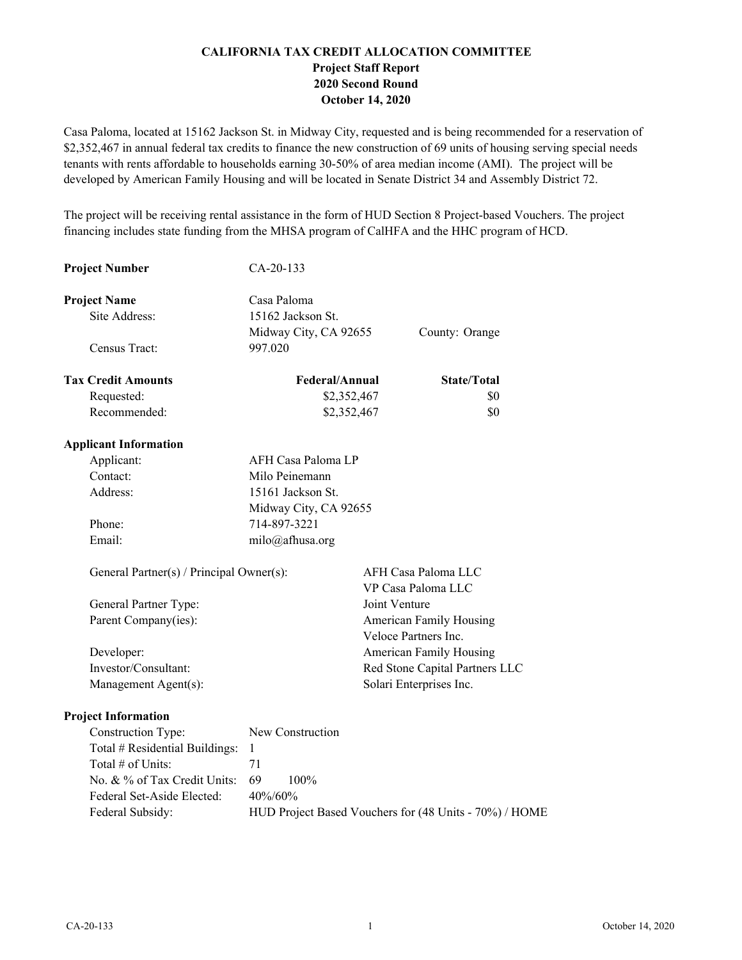# **CALIFORNIA TAX CREDIT ALLOCATION COMMITTEE Project Staff Report 2020 Second Round October 14, 2020**

Casa Paloma, located at 15162 Jackson St. in Midway City, requested and is being recommended for a reservation of \$2,352,467 in annual federal tax credits to finance the new construction of 69 units of housing serving special needs tenants with rents affordable to households earning 30-50% of area median income (AMI). The project will be developed by American Family Housing and will be located in Senate District 34 and Assembly District 72.

The project will be receiving rental assistance in the form of HUD Section 8 Project-based Vouchers. The project financing includes state funding from the MHSA program of CalHFA and the HHC program of HCD.

| <b>Project Number</b>                    | CA-20-133                      |                      |                                                        |
|------------------------------------------|--------------------------------|----------------------|--------------------------------------------------------|
| <b>Project Name</b>                      | Casa Paloma                    |                      |                                                        |
| Site Address:                            | 15162 Jackson St.              |                      |                                                        |
|                                          | Midway City, CA 92655          |                      | County: Orange                                         |
| Census Tract:                            | 997.020                        |                      |                                                        |
| <b>Tax Credit Amounts</b>                | Federal/Annual                 |                      | <b>State/Total</b>                                     |
| Requested:                               | \$2,352,467                    |                      | \$0                                                    |
| Recommended:                             | \$2,352,467                    |                      | \$0                                                    |
| <b>Applicant Information</b>             |                                |                      |                                                        |
| Applicant:                               | AFH Casa Paloma LP             |                      |                                                        |
| Contact:                                 | Milo Peinemann                 |                      |                                                        |
| Address:                                 | 15161 Jackson St.              |                      |                                                        |
|                                          | Midway City, CA 92655          |                      |                                                        |
| Phone:                                   | 714-897-3221                   |                      |                                                        |
| Email:                                   | milo@afhusa.org                |                      |                                                        |
| General Partner(s) / Principal Owner(s): |                                |                      | AFH Casa Paloma LLC<br>VP Casa Paloma LLC              |
| General Partner Type:                    |                                | Joint Venture        |                                                        |
| Parent Company(ies):                     |                                | Veloce Partners Inc. | American Family Housing                                |
| Developer:                               |                                |                      | American Family Housing                                |
| Investor/Consultant:                     | Red Stone Capital Partners LLC |                      |                                                        |
| Management Agent(s):                     |                                |                      | Solari Enterprises Inc.                                |
| <b>Project Information</b>               |                                |                      |                                                        |
| Construction Type:                       | New Construction               |                      |                                                        |
| Total # Residential Buildings:           | $\mathbf{1}$                   |                      |                                                        |
| Total # of Units:                        | 71                             |                      |                                                        |
| No. & % of Tax Credit Units:             | 69<br>100%                     |                      |                                                        |
| Federal Set-Aside Elected:               | 40%/60%                        |                      |                                                        |
| Federal Subsidy:                         |                                |                      | HUD Project Based Vouchers for (48 Units - 70%) / HOME |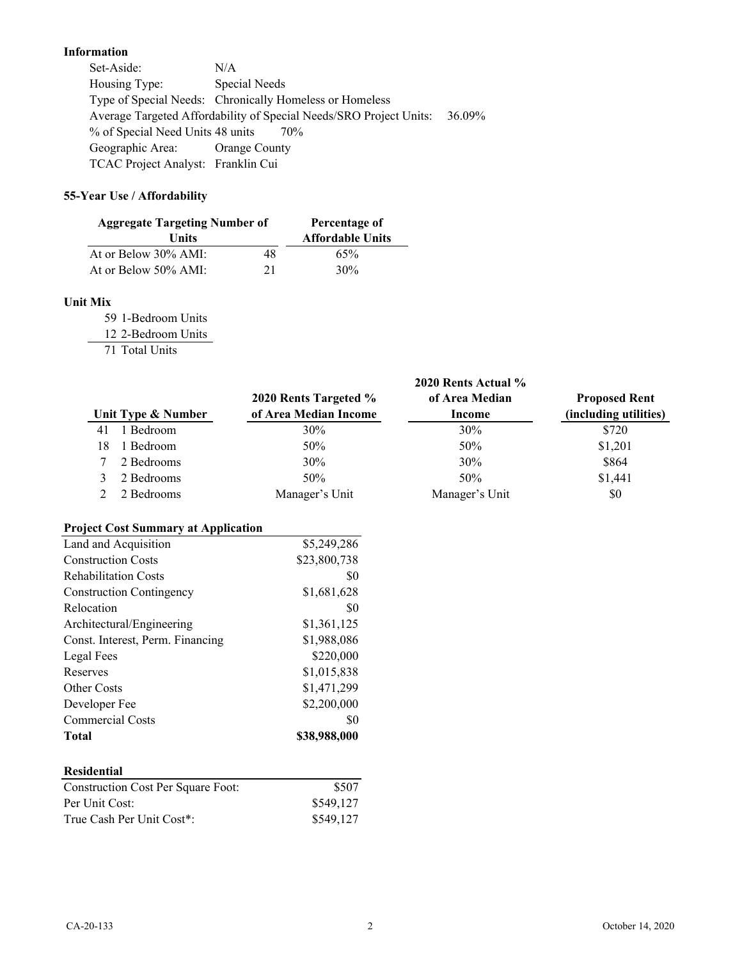# **Information**

Set-Aside: N/A Housing Type: Special Needs Type of Special Needs: Chronically Homeless or Homeless Average Targeted Affordability of Special Needs/SRO Project Units: 36.09% % of Special Need Units 48 units 70% Geographic Area: Orange County TCAC Project Analyst: Franklin Cui

# **55-Year Use / Affordability**

| <b>Aggregate Targeting Number of</b> |    | Percentage of           |  |
|--------------------------------------|----|-------------------------|--|
| <b>Units</b>                         |    | <b>Affordable Units</b> |  |
| At or Below 30% AMI:                 | 48 | 65%                     |  |
| At or Below 50% AMI:                 | 21 | 30%                     |  |

## **Unit Mix**

59 1-Bedroom Units

12 2-Bedroom Units

71 Total Units

|                                            | 2020 Rents Targeted % | 2020 Rents Actual %<br>of Area Median | <b>Proposed Rent</b>  |
|--------------------------------------------|-----------------------|---------------------------------------|-----------------------|
| Unit Type & Number                         | of Area Median Income | <b>Income</b>                         | (including utilities) |
| 1 Bedroom<br>41                            | 30%                   | 30%                                   | \$720                 |
| 1 Bedroom<br>18                            | 50%                   | 50%                                   | \$1,201               |
| 2 Bedrooms<br>7                            | 30%                   | 30%                                   | \$864                 |
| 2 Bedrooms<br>3                            | 50%                   | 50%                                   | \$1,441               |
| 2 Bedrooms<br>2                            | Manager's Unit        | Manager's Unit                        | \$0                   |
| <b>Project Cost Summary at Application</b> |                       |                                       |                       |
| Land and Acquisition                       | \$5,249,286           |                                       |                       |
| <b>Construction Costs</b>                  | \$23,800,738          |                                       |                       |
| <b>Rehabilitation Costs</b>                | \$0                   |                                       |                       |
| <b>Construction Contingency</b>            | \$1,681,628           |                                       |                       |
| Relocation                                 | \$0                   |                                       |                       |
| Architectural/Engineering                  | \$1,361,125           |                                       |                       |
| Const. Interest, Perm. Financing           | \$1,988,086           |                                       |                       |
| Legal Fees                                 | \$220,000             |                                       |                       |
| Reserves                                   | \$1,015,838           |                                       |                       |
| Other Costs                                | \$1,471,299           |                                       |                       |
| Developer Fee                              | \$2,200,000           |                                       |                       |
| <b>Commercial Costs</b>                    | \$0                   |                                       |                       |
| <b>Total</b>                               | \$38,988,000          |                                       |                       |
| <b>Residential</b>                         |                       |                                       |                       |
| <b>Construction Cost Per Square Foot:</b>  | \$507                 |                                       |                       |
| Per Unit Cost:                             | \$549,127             |                                       |                       |
| True Cash Per Unit Cost*:                  | \$549,127             |                                       |                       |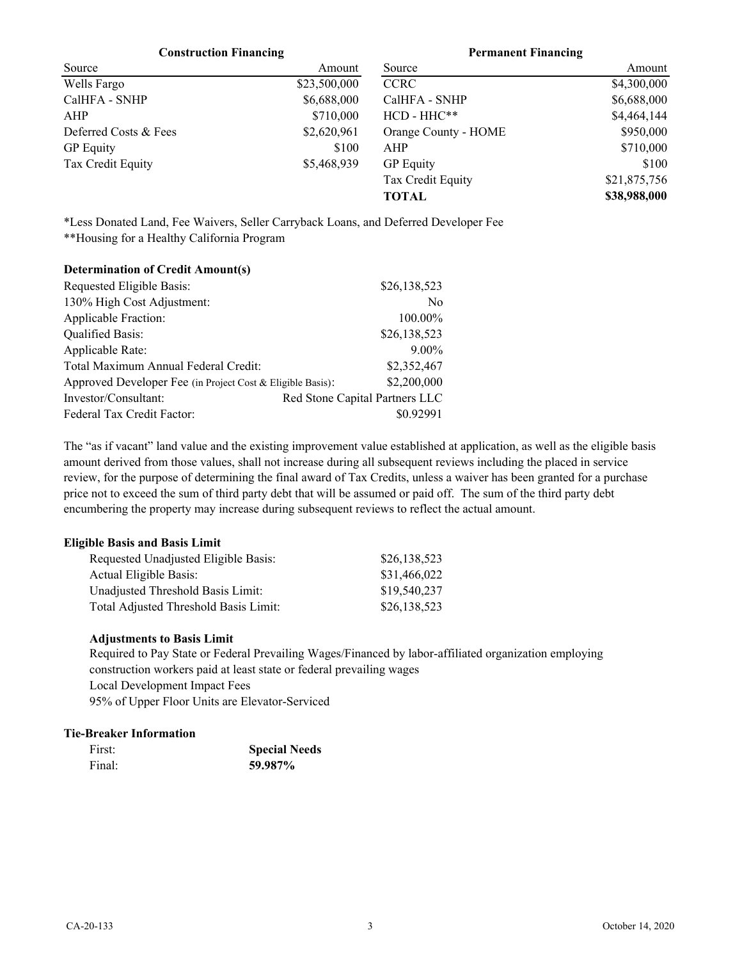#### **Construction Financing Permanent Financing**

| Source                | Amount       | Source               | Amount       |
|-----------------------|--------------|----------------------|--------------|
| Wells Fargo           | \$23,500,000 | <b>CCRC</b>          | \$4,300,000  |
| CalHFA - SNHP         | \$6,688,000  | CalHFA - SNHP        | \$6,688,000  |
| AHP                   | \$710,000    | $HCD - HHC**$        | \$4,464,144  |
| Deferred Costs & Fees | \$2,620,961  | Orange County - HOME | \$950,000    |
| <b>GP</b> Equity      | \$100        | AHP                  | \$710,000    |
| Tax Credit Equity     | \$5,468,939  | <b>GP</b> Equity     | \$100        |
|                       |              | Tax Credit Equity    | \$21,875,756 |
|                       |              | <b>TOTAL</b>         | \$38,988,000 |

\*Less Donated Land, Fee Waivers, Seller Carryback Loans, and Deferred Developer Fee

\*\*Housing for a Healthy California Program

| Requested Eligible Basis:                                  | \$26,138,523                   |
|------------------------------------------------------------|--------------------------------|
| 130% High Cost Adjustment:                                 | N <sub>0</sub>                 |
| Applicable Fraction:                                       | 100.00%                        |
| <b>Qualified Basis:</b>                                    | \$26,138,523                   |
| Applicable Rate:                                           | $9.00\%$                       |
| Total Maximum Annual Federal Credit:                       | \$2,352,467                    |
| Approved Developer Fee (in Project Cost & Eligible Basis): | \$2,200,000                    |
| Investor/Consultant:                                       | Red Stone Capital Partners LLC |
| Federal Tax Credit Factor:                                 | \$0.92991                      |

The "as if vacant" land value and the existing improvement value established at application, as well as the eligible basis amount derived from those values, shall not increase during all subsequent reviews including the placed in service review, for the purpose of determining the final award of Tax Credits, unless a waiver has been granted for a purchase price not to exceed the sum of third party debt that will be assumed or paid off. The sum of the third party debt encumbering the property may increase during subsequent reviews to reflect the actual amount.

### **Eligible Basis and Basis Limit**

| Requested Unadjusted Eligible Basis:  | \$26,138,523 |
|---------------------------------------|--------------|
| Actual Eligible Basis:                | \$31,466,022 |
| Unadjusted Threshold Basis Limit:     | \$19,540,237 |
| Total Adjusted Threshold Basis Limit: | \$26,138,523 |

### **Adjustments to Basis Limit**

Required to Pay State or Federal Prevailing Wages/Financed by labor-affiliated organization employing construction workers paid at least state or federal prevailing wages Local Development Impact Fees 95% of Upper Floor Units are Elevator-Serviced

### **Tie-Breaker Information**

| First: | <b>Special Needs</b> |  |
|--------|----------------------|--|
| Final: | 59.987%              |  |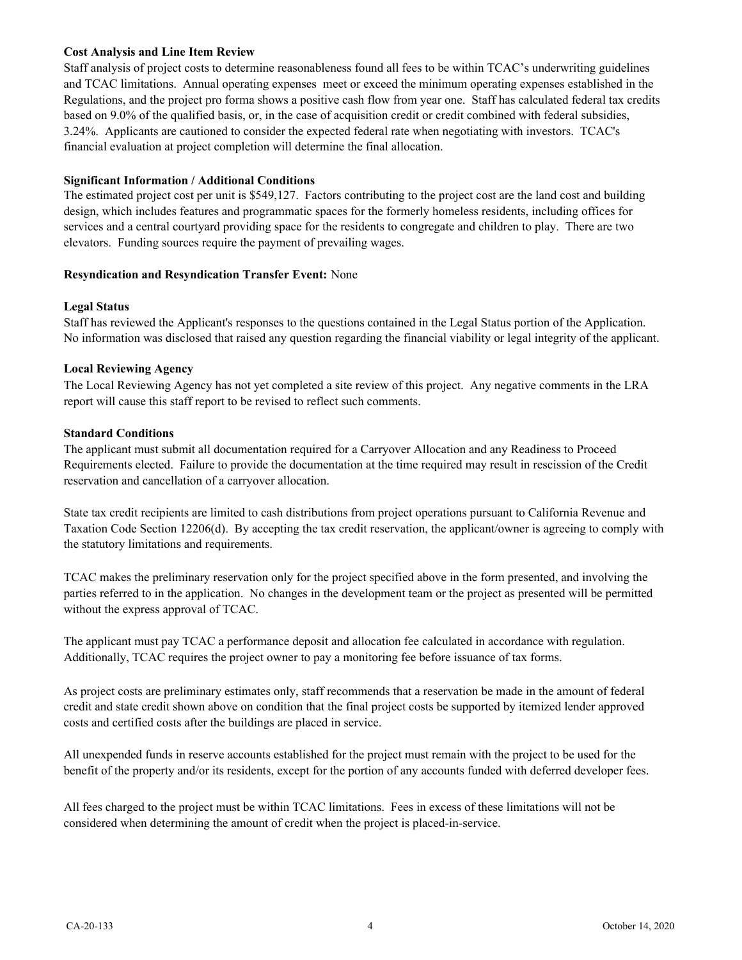## **Cost Analysis and Line Item Review**

Staff analysis of project costs to determine reasonableness found all fees to be within TCAC's underwriting guidelines and TCAC limitations. Annual operating expenses meet or exceed the minimum operating expenses established in the Regulations, and the project pro forma shows a positive cash flow from year one. Staff has calculated federal tax credits based on 9.0% of the qualified basis, or, in the case of acquisition credit or credit combined with federal subsidies, 3.24%. Applicants are cautioned to consider the expected federal rate when negotiating with investors. TCAC's financial evaluation at project completion will determine the final allocation.

# **Significant Information / Additional Conditions**

The estimated project cost per unit is \$549,127. Factors contributing to the project cost are the land cost and building design, which includes features and programmatic spaces for the formerly homeless residents, including offices for services and a central courtyard providing space for the residents to congregate and children to play. There are two elevators. Funding sources require the payment of prevailing wages.

### **Resyndication and Resyndication Transfer Event:** None

# **Legal Status**

Staff has reviewed the Applicant's responses to the questions contained in the Legal Status portion of the Application. No information was disclosed that raised any question regarding the financial viability or legal integrity of the applicant.

# **Local Reviewing Agency**

The Local Reviewing Agency has not yet completed a site review of this project. Any negative comments in the LRA report will cause this staff report to be revised to reflect such comments.

### **Standard Conditions**

The applicant must submit all documentation required for a Carryover Allocation and any Readiness to Proceed Requirements elected. Failure to provide the documentation at the time required may result in rescission of the Credit reservation and cancellation of a carryover allocation.

State tax credit recipients are limited to cash distributions from project operations pursuant to California Revenue and Taxation Code Section 12206(d). By accepting the tax credit reservation, the applicant/owner is agreeing to comply with the statutory limitations and requirements.

TCAC makes the preliminary reservation only for the project specified above in the form presented, and involving the parties referred to in the application. No changes in the development team or the project as presented will be permitted without the express approval of TCAC.

The applicant must pay TCAC a performance deposit and allocation fee calculated in accordance with regulation. Additionally, TCAC requires the project owner to pay a monitoring fee before issuance of tax forms.

As project costs are preliminary estimates only, staff recommends that a reservation be made in the amount of federal credit and state credit shown above on condition that the final project costs be supported by itemized lender approved costs and certified costs after the buildings are placed in service.

All unexpended funds in reserve accounts established for the project must remain with the project to be used for the benefit of the property and/or its residents, except for the portion of any accounts funded with deferred developer fees.

All fees charged to the project must be within TCAC limitations. Fees in excess of these limitations will not be considered when determining the amount of credit when the project is placed-in-service.